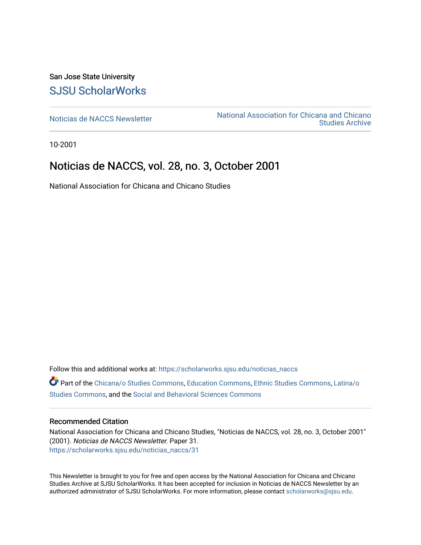San Jose State University [SJSU ScholarWorks](https://scholarworks.sjsu.edu/) 

[Noticias de NACCS Newsletter](https://scholarworks.sjsu.edu/noticias_naccs) National Association for Chicana and Chicano [Studies Archive](https://scholarworks.sjsu.edu/naccs_archives) 

10-2001

### Noticias de NACCS, vol. 28, no. 3, October 2001

National Association for Chicana and Chicano Studies

Follow this and additional works at: [https://scholarworks.sjsu.edu/noticias\\_naccs](https://scholarworks.sjsu.edu/noticias_naccs?utm_source=scholarworks.sjsu.edu%2Fnoticias_naccs%2F31&utm_medium=PDF&utm_campaign=PDFCoverPages) Part of the [Chicana/o Studies Commons](http://network.bepress.com/hgg/discipline/569?utm_source=scholarworks.sjsu.edu%2Fnoticias_naccs%2F31&utm_medium=PDF&utm_campaign=PDFCoverPages), [Education Commons,](http://network.bepress.com/hgg/discipline/784?utm_source=scholarworks.sjsu.edu%2Fnoticias_naccs%2F31&utm_medium=PDF&utm_campaign=PDFCoverPages) [Ethnic Studies Commons](http://network.bepress.com/hgg/discipline/570?utm_source=scholarworks.sjsu.edu%2Fnoticias_naccs%2F31&utm_medium=PDF&utm_campaign=PDFCoverPages), [Latina/o](http://network.bepress.com/hgg/discipline/1315?utm_source=scholarworks.sjsu.edu%2Fnoticias_naccs%2F31&utm_medium=PDF&utm_campaign=PDFCoverPages)  [Studies Commons,](http://network.bepress.com/hgg/discipline/1315?utm_source=scholarworks.sjsu.edu%2Fnoticias_naccs%2F31&utm_medium=PDF&utm_campaign=PDFCoverPages) and the [Social and Behavioral Sciences Commons](http://network.bepress.com/hgg/discipline/316?utm_source=scholarworks.sjsu.edu%2Fnoticias_naccs%2F31&utm_medium=PDF&utm_campaign=PDFCoverPages)

#### Recommended Citation

National Association for Chicana and Chicano Studies, "Noticias de NACCS, vol. 28, no. 3, October 2001" (2001). Noticias de NACCS Newsletter. Paper 31. [https://scholarworks.sjsu.edu/noticias\\_naccs/31](https://scholarworks.sjsu.edu/noticias_naccs/31?utm_source=scholarworks.sjsu.edu%2Fnoticias_naccs%2F31&utm_medium=PDF&utm_campaign=PDFCoverPages) 

This Newsletter is brought to you for free and open access by the National Association for Chicana and Chicano Studies Archive at SJSU ScholarWorks. It has been accepted for inclusion in Noticias de NACCS Newsletter by an authorized administrator of SJSU ScholarWorks. For more information, please contact [scholarworks@sjsu.edu.](mailto:scholarworks@sjsu.edu)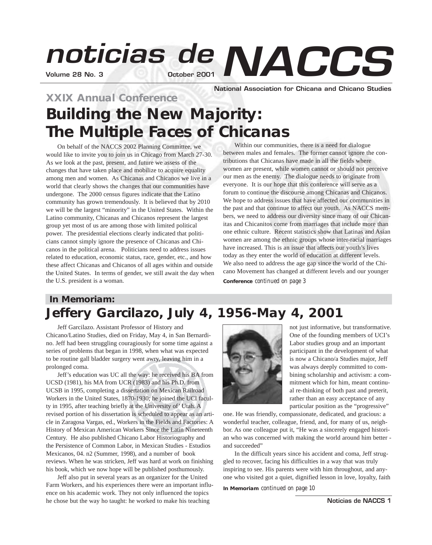# **Volume 28 No. 3 October 2001** *noticias de NACCS*

**National Association for Chicana and Chicano Studies**

# **XXIX Annual Conference Building the New Majority: The Multiple Faces of Chicanas**

On behalf of the NACCS 2002 Planning Committee, we would like to invite you to join us in Chicago from March 27-30. As we look at the past, present, and future we assess of the changes that have taken place and mobilize to acquire equality among men and women. As Chicanas and Chicanos we live in a world that clearly shows the changes that our communities have undergone. The 2000 census figures indicate that the Latino community has grown tremendously. It is believed that by 2010 we will be the largest "minority" in the United States. Within the Latino community, Chicanas and Chicanos represent the largest group yet most of us are among those with limited political power. The presidential elections clearly indicated that politicians cannot simply ignore the presence of Chicanas and Chicanos in the political arena. Politicians need to address issues related to education, economic status, race, gender, etc., and how these affect Chicanas and Chicanos of all ages within and outside the United States. In terms of gender, we still await the day when the U.S. president is a woman.

**Conference** *continued on page 3* Within our communities, there is a need for dialogue between males and females. The former cannot ignore the contributions that Chicanas have made in all the fields where women are present, while women cannot or should not perceive our men as the enemy. The dialogue needs to originate from everyone. It is our hope that this conference will serve as a forum to continue the discourse among Chicanas and Chicanos. We hope to address issues that have affected our communities in the past and that continue to affect our youth. As NACCS members, we need to address our diversity since many of our Chicanitas and Chicanitos come from marriages that include more than one ethnic culture. Recent statistics show that Latinas and Asian women are among the ethnic groups whose inter-racial marriages have increased. This is an issue that affects our youth's lives today as they enter the world of education at different levels. We also need to address the age gap since the world of the Chicano Movement has changed at different levels and our younger

# **In Memoriam: Jeffery Garcilazo, July 4, 1956-May 4, 2001**

Jeff Garcilazo. Assistant Professor of History and Chicano/Latino Studies, died on Friday, May 4, in San Bernardino. Jeff had been struggling couragiously for some time against a series of problems that began in 1998, when what was expected to be routine gall bladder surgery went awry, leaving him in a prolonged coma.

Jeff's education was UC all the way: he received his BA from UCSD (1981), his MA from UCR (1983) and his Ph.D. from UCSB in 1995, completing a dissertation on Mexican Railroad Workers in the United States, 1870-1930; he joined the UCI faculty in 1995, after teaching briefly at the University of' Utah. A revised portion of his dissertation is scheduled to appear as an article in Zaragosa Vargas, ed., Workers in the Fields and Factories: A History of Mexican American Workers Since the Latin Nineteenth Century. He also published Chicano Labor Historiography and the Persistence of Common Labor, in Mexican Studies - Estudios Mexicanos, 04. n2 (Summer, 1998), and a number of book reviews. When he was stricken, Jeff was hard at work on finishing his book, which we now hope will be published posthumously.

Jeff also put in several years as an organizer for the United Farm Workers, and his experiences there were an important influence on his academic work. They not only influenced the topics he chose but the way ho taught: he worked to make his teaching



not just informative, but transformative. One of the founding members of UCI's Labor studies group and an important participant in the development of what is now a Chicano/a Studies major, Jeff was always deeply committed to combining scholarship and activism: a commitment which for him, meant continual re-thinking of both past and preterit, rather than an easy acceptance of any particular position as the "progressive"

one. He was friendly, compassionate, dedicated, and gracious: a wonderful teacher, colleague, friend, and, for many of us, neighbor. As one colleague put it, "He was a sincerely engaged historian who was concerned with making the world around him better and succeeded"

In the difficult years since his accident and coma, Jeff struggled to recover, facing his difficulties in a way that was truly inspiring to see. His parents were with him throughout, and anyone who visited got a quiet, dignified lesson in love, loyalty, faith

**In Memoriam** *continued on page 10*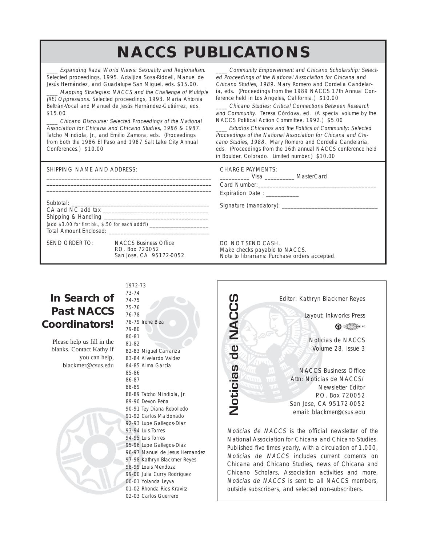# **NACCS PUBLICATIONS**

Expanding Raza World Views: Sexuality and Regionalism. Selected proceedings, 1995. Adaljiza Sosa-Riddell, Manuel de Jesús Hernández, and Guadalupe San Miguel, eds. \$15.00.

Mapping Strategies: NACCS and the Challenge of Multiple (RE) Oppressions. Selected proceedings, 1993. María Antonia Beltrán-Vocal and Manuel de Jesús Hernández-Gutiérrez, eds. \$15.00

\_\_\_\_ Chicano Discourse: Selected Proceedings of the National Association for Chicana and Chicano Studies, 1986 & 1987. Tatcho Mindiola, Jr., and Emilio Zamora, eds. (Proceedings from both the 1986 El Paso and 1987 Salt Lake City Annual Conferences.) \$10.00

Community Empowerment and Chicano Scholarship: Selected Proceedings of the National Association for Chicana and Chicano Studies, 1989. Mary Romero and Cordelia Candelaria, eds. (Proceedings from the 1989 NACCS 17th Annual Conference held in Los Angeles, California.) \$10.00

\_\_\_\_ Chicano Studies: Critical Connections Between Research and Community. Teresa Córdova, ed. (A special volume by the NACCS Political Action Committee, 1992.) \$5.00

Estudios Chicanos and the Politics of Community: Selected Proceedings of the National Association for Chicana and Chicano Studies, 1988. Mary Romero and Cordelia Candelaria, eds. (Proceedings from the 16th annual NACCS conference held in Boulder, Colorado. Limited number.) \$10.00

| SHIPPING NAME AND ADDRESS:                        |                                                                            | <b>CHARGE PAYMENTS:</b><br>Expiration Date: ___________                                             |
|---------------------------------------------------|----------------------------------------------------------------------------|-----------------------------------------------------------------------------------------------------|
| $(add $3.00 for first bk., $.50 for each addt'])$ |                                                                            |                                                                                                     |
| SEND ORDER TO:                                    | <b>NACCS Business Office</b><br>P.O. Box 720052<br>San Jose, CA 95172-0052 | DO NOT SEND CASH.<br>Make checks payable to NACCS.<br>Note to librarians: Purchase orders accepted. |

# **In Search of Past NACCS Coordinators!**

Please help us fill in the blanks. Contact Kathy if you can help, blackmer@csus.edu



1972-73 73-74 74-75 75-76 76-78 78-79 Irene Blea 79-80 80-81 81-82 82-83 Miguel Carranza 83-84 Alvelardo Valdez 84-85 Alma Garcia 85-86 86-87 88-89 88-89 Tatcho Mindiola, Jr. 89-90 Devon Pena 90-91 Tey Diana Rebolledo 91-92 Carlos Maldonado 92-93 Lupe Gallegos-Diaz 93-94 Luis Torres 94-95 Luis Torres 95-96 Lupe Gallegos-Diaz 96-97 Manuel de Jesus Hernandez 97-98 Kathryn Blackmer Reyes 98-99 Louis Mendoza 99-00 Julia Curry Rodriguez 00-01 Yolanda Leyva 01-02 Rhonda Rios Kravitz 02-03 Carlos Guerrero



Chicana and Chicano Studies, news of Chicana and Chicano Scholars, Association activities and more. Noticias de NACCS is sent to all NACCS members,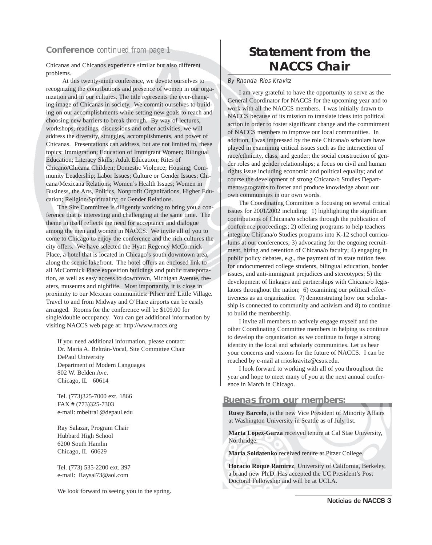#### **Conference** *continued from page 1*

Chicanas and Chicanos experience similar but also different problems.

At this twenty-ninth conference, we devote ourselves to recognizing the contributions and presence of women in our organization and in our cultures. The title represents the ever-changing image of Chicanas in society. We commit ourselves to building on our accomplishments while setting new goals to reach and choosing new barriers to break through. By way of lectures, workshops, readings, discussions and other activities, we will address the diversity, struggles, accomplishments, and power of Chicanas. Presentations can address, but are not limited to, these topics: Immigration; Education of Immigrant Women; Bilingual Education; Literacy Skills; Adult Education; Rites of Chicano/Chicana Children; Domestic Violence; Housing; Community Leadership; Labor Issues; Culture or Gender Issues; Chicana/Mexicana Relations; Women's Health Issues; Women in Business, the Arts, Politics, Nonprofit Organizations, Higher Education; Religion/Spirituality; or Gender Relations.

The Site Committee is diligently working to bring you a conference that is interesting and challenging at the same time. The theme in itself reflects the need for acceptance and dialogue among the men and women in NACCS. We invite all of you to come to Chicago to enjoy the conference and the rich cultures the city offers. We have selected the Hyatt Regency McCormick Place, a hotel that is located in Chicago's south downtown area, along the scenic lakefront. The hotel offers an enclosed link to all McCormick Place exposition buildings and public transportation, as well as easy access to downtown, Michigan Avenue, theaters, museums and nightlife. Most importantly, it is close in proximity to our Mexican communities: Pilsen and Little Village. Travel to and from Midway and O'Hare airports can be easily arranged. Rooms for the conference will be \$109.00 for single/double occupancy. You can get additional information by visiting NACCS web page at: http://www.naccs.org

If you need additional information, please contact: Dr. María A. Beltrán-Vocal, Site Committee Chair DePaul University Department of Modern Languages 802 W. Belden Ave. Chicago, IL 60614

Tel. (773)325-7000 ext. 1866 FAX # (773)325-7303 e-mail: mbeltra1@depaul.edu

Ray Salazar, Program Chair Hubbard High School 6200 South Hamlin Chicago, IL 60629

Tel. (773) 535-2200 ext. 397 e-mail: Raysal73@aol.com

We look forward to seeing you in the spring.

# **Statement from the NACCS Chair**

By Rhonda Ríos Kravitz

I am very grateful to have the opportunity to serve as the General Coordinator for NACCS for the upcoming year and to work with all the NACCS members. I was initially drawn to NACCS because of its mission to translate ideas into political action in order to foster significant change and the commitment of NACCS members to improve our local communities. In addition, I was impressed by the role Chicana/o scholars have played in examining critical issues such as the intersection of race/ethnicity, class, and gender; the social construction of gender roles and gender relationships; a focus on civil and human rights issue including economic and political equality; and of course the development of strong Chicana/o Studies Departments/programs to foster and produce knowledge about our own communities in our own words.

The Coordinating Committee is focusing on several critical issues for 2001/2002 including: 1) highlighting the significant contributions of Chicana/o scholars through the publication of conference proceedings; 2) offering programs to help teachers integrate Chicana/o Studies programs into K-12 school curriculums at our conferences; 3) advocating for the ongoing recruitment, hiring and retention of Chicana/o faculty; 4) engaging in public policy debates, e.g., the payment of in state tuition fees for undocumented college students, bilingual education, border issues, and anti-immigrant prejudices and stereotypes; 5) the development of linkages and partnerships with Chicana/o legislators throughout the nation; 6) examining our political effectiveness as an organization 7) demonstrating how our scholarship is connected to community and activism and 8) to continue to build the membership.

I invite all members to actively engage myself and the other Coordinating Committee members in helping us continue to develop the organization as we continue to forge a strong identity in the local and scholarly communities. Let us hear your concerns and visions for the future of NACCS. I can be reached by e-mail at rrioskravitz@csus.edu.

I look forward to working with all of you throughout the year and hope to meet many of you at the next annual conference in March in Chicago.

#### **Buenas from our members:**

**Rusty Barcelo**, is the new Vice President of Minority Affairs at Washington University in Seattle as of July 1st.

**Marta Lopez-Garza** received tenure at Cal Stae University, Northridge.

**Maria Soldatenko** received tenure at Pitzer College.

**Horacio Roque Ramirez**, University of California, Berkeley, a brand new Ph.D. Has accepted the UC President's Post Doctoral Fellowship and will be at UCLA.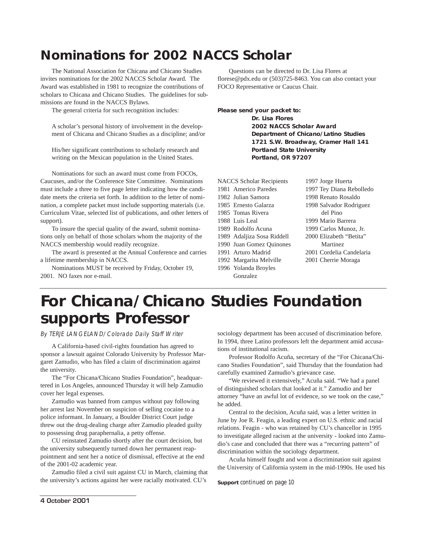# **Nominations for 2002 NACCS Scholar**

The National Association for Chicana and Chicano Studies invites nominations for the 2002 NACCS Scholar Award. The Award was established in 1981 to recognize the contributions of scholars to Chicana and Chicano Studies. The guidelines for submissions are found in the NACCS Bylaws.

The general criteria for such recognition includes:

A scholar's personal history of involvement in the development of Chicana and Chicano Studies as a discipline; and/or

His/her significant contributions to scholarly research and writing on the Mexican population in the United States.

Nominations for such an award must come from FOCOs, Caucuses, and/or the Conference Site Committee. Nominations must include a three to five page letter indicating how the candidate meets the criteria set forth. In addition to the letter of nomination, a complete packet must include supporting materials (i.e. Curriculum Vitae, selected list of publications, and other letters of support).

To insure the special quality of the award, submit nominations only on behalf of those scholars whom the majority of the NACCS membership would readily recognize.

The award is presented at the Annual Conference and carries a lifetime membership in NACCS.

Nominations MUST be received by Friday, October 19, 2001. NO faxes nor e-mail.

Questions can be directed to Dr. Lisa Flores at florese@pdx.edu or (503)725-8463. You can also contact your FOCO Representative or Caucus Chair.

**Please send your packet to:** 

**Dr. Lisa Flores 2002 NACCS Scholar Award Department of Chicano/Latino Studies 1721 S.W. Broadway, Cramer Hall 141 Portland State University Portland, OR 97207**

NACCS Scholar Recipients 1981 Americo Paredes

1982 Julian Samora

- 1985 Ernesto Galarza
- 1985 Tomas Rivera
- 1988 Luis Leal
- 1989 Rodolfo Acuna 1989 Adaljiza Sosa Riddell
- 1990 Juan Gomez Quinones
- 1991 Arturo Madrid
- 1992 Margarita Melville
- 1996 Yolanda Broyles
	- Gonzalez

1997 Jorge Huerta 1997 Tey Diana Rebolledo 1998 Renato Rosaldo 1998 Salvador Rodriguez del Pino 1999 Mario Barrera 1999 Carlos Munoz, Jr. 2000 Elizabeth "Betita" Martinez 2001 Cordelia Candelaria 2001 Cherrie Moraga

# **For Chicana/Chicano Studies Foundation supports Professor**

By TERJE LANGELAND/Colorado Daily Staff Writer

A California-based civil-rights foundation has agreed to sponsor a lawsuit against Colorado University by Professor Margaret Zamudio, who has filed a claim of discrimination against the university.

The "For Chicana/Chicano Studies Foundation", headquartered in Los Angeles, announced Thursday it will help Zamudio cover her legal expenses.

Zamudio was banned from campus without pay following her arrest last November on suspicion of selling cocaine to a police informant. In January, a Boulder District Court judge threw out the drug-dealing charge after Zamudio pleaded guilty to possessing drug paraphernalia, a petty offense.

CU reinstated Zamudio shortly after the court decision, but the university subsequently turned down her permanent reappointment and sent her a notice of dismissal, effective at the end of the 2001-02 academic year.

Zamudio filed a civil suit against CU in March, claiming that the university's actions against her were racially motivated. CU's

sociology department has been accused of discrimination before. In 1994, three Latino professors left the department amid accusations of institutional racism.

Professor Rodolfo Acuña, secretary of the "For Chicana/Chicano Studies Foundation", said Thursday that the foundation had carefully examined Zamudio's grievance case.

"We reviewed it extensively," Acuña said. "We had a panel of distinguished scholars that looked at it." Zamudio and her attorney "have an awful lot of evidence, so we took on the case," he added.

Central to the decision, Acuña said, was a letter written in June by Joe R. Feagin, a leading expert on U.S. ethnic and racial relations. Feagin - who was retained by CU's chancellor in 1995 to investigate alleged racism at the university - looked into Zamudio's case and concluded that there was a "recurring pattern" of discrimination within the sociology department.

Acuña himself fought and won a discrimination suit against the University of California system in the mid-1990s. He used his

**Support** *continued on page 10*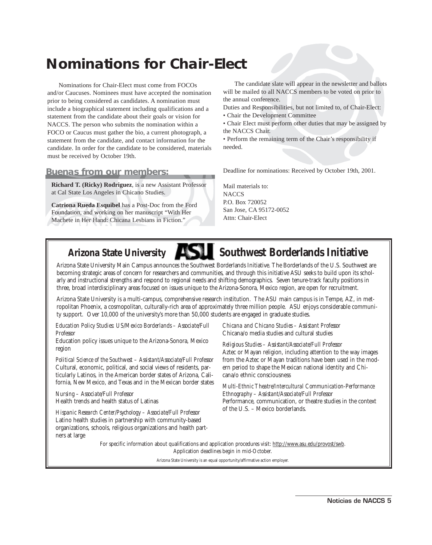# **Nominations for Chair-Elect**

Nominations for Chair-Elect must come from FOCOs and/or Caucuses. Nominees must have accepted the nomination prior to being considered as candidates. A nomination must include a biographical statement including qualifications and a statement from the candidate about their goals or vision for NACCS. The person who submits the nomination within a FOCO or Caucus must gather the bio, a current photograph, a statement from the candidate, and contact information for the candidate. In order for the candidate to be considered, materials must be received by October 19th.

#### **Buenas from our members:**

**Richard T. (Ricky) Rodriguez**, is a new Assistant Professor at Cal State Los Angeles in Chicano Studies.

**Catriona Rueda Esquibel** has a Post-Doc from the Ford Foundation, and working on her manuscript "With Her Machete in Her Hand: Chicana Lesbians in Fiction."

The candidate slate will appear in the newsletter and ballots will be mailed to all NACCS members to be voted on prior to the annual conference.

Duties and Responsibilities, but not limited to, of Chair-Elect:

- Chair the Development Committee
- Chair Elect must perform other duties that may be assigned by the NACCS Chair.

• Perform the remaining term of the Chair's responsibility if needed.

Deadline for nominations: Received by October 19th, 2001.

Mail materials to: **NACCS** P.O. Box 720052 San Jose, CA 95172-0052 Attn: Chair-Elect

# Arizona State University **Southwest Borderlands Initiative**

Arizona State University Main Campus announces the Southwest Borderlands Initiative. The Borderlands of the U.S. Southwest are becoming strategic areas of concern for researchers and communities, and through this initiative ASU seeks to build upon its scholarly and instructional strengths and respond to regional needs and shifting demographics. Seven tenure-track faculty positions in three, broad interdisciplinary areas focused on issues unique to the Arizona-Sonora, Mexico region, are open for recruitment.

Arizona State University is a multi-campus, comprehensive research institution. The ASU main campus is in Tempe, AZ, in metropolitan Phoenix, a cosmopolitan, culturally-rich area of approximately three million people. ASU enjoys considerable community support. Over 10,000 of the university's more than 50,000 students are engaged in graduate studies.

*Education Policy Studies: US/Mexico Borderlands – Associate/Full Professor*

Education policy issues unique to the Arizona-Sonora, Mexico region

*Political Science of the Southwest – Assistant/Associate/Full Professor* Cultural, economic, political, and social views of residents, particularly Latinos, in the American border states of Arizona, California, New Mexico, and Texas and in the Mexican border states

*Nursing – Associate/Full Professor* Health trends and health status of Latinas

*Hispanic Research Center/Psychology – Associate/Full Professor* Latino health studies in partnership with community-based organizations, schools, religious organizations and health partners at large

*Chicana and Chicano Studies – Assistant Professor* Chicana/o media studies and cultural studies

*Religious Studies – Assistant/Associate/Full Professor* Aztec or Mayan religion, including attention to the way images from the Aztec or Mayan traditions have been used in the modern period to shape the Mexican national identity and Chicana/o ethnic consciousness

*Multi-Ethnic Theatre/Intercultural Communication-Performance Ethnography – Assistant/Associate/Full Professor* Performance, communication, or theatre studies in the context of the U.S. – Mexico borderlands.

For specific information about qualifications and application procedures visit: http://www.asu.edu/provost/swb. Application deadlines begin in mid-October.

Arizona State University is an equal opportunity/affirmative action employer.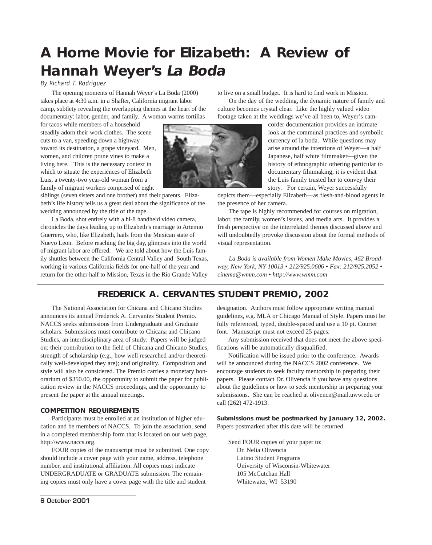# **A Home Movie for Elizabeth: A Review of Hannah Weyer's La Boda**

By Richard T. Rodriguez

The opening moments of Hannah Weyer's La Boda (2000) takes place at 4:30 a.m. in a Shafter, California migrant labor camp, subtlety revealing the overlapping themes at the heart of the documentary: labor, gender, and family. A woman warms tortillas

for tacos while members of a household steadily adorn their work clothes. The scene cuts to a van, speeding down a highway toward its destination, a grape vineyard. Men, women, and children prune vines to make a living here. This is the necessary context in which to situate the experiences of Elizabeth Luis, a twenty-two year-old woman from a family of migrant workers comprised of eight

siblings (seven sisters and one brother) and their parents. Elizabeth's life history tells us a great deal about the significance of the wedding announced by the title of the tape.

La Boda, shot entirely with a hi-8 handheld video camera, chronicles the days leading up to Elizabeth's marriage to Artemio Guerrero, who, like Elizabeth, hails from the Mexican state of Nuevo Leon. Before reaching the big day, glimpses into the world of migrant labor are offered. We are told about how the Luis family shuttles between the California Central Valley and South Texas, working in various California fields for one-half of the year and return for the other half to Mission, Texas in the Rio Grande Valley



to live on a small budget. It is hard to find work in Mission. On the day of the wedding, the dynamic nature of family and culture becomes crystal clear. Like the highly valued video footage taken at the weddings we've all been to, Weyer's cam-

corder documentation provides an intimate look at the communal practices and symbolic currency of la boda. While questions may arise around the intentions of Weyer—a half Japanese, half white filmmaker—given the history of ethnographic othering particular to documentary filmmaking, it is evident that the Luis family trusted her to convey their story. For certain, Weyer successfully

depicts them—especially Elizabeth—as flesh-and-blood agents in the presence of her camera.

The tape is highly recommended for courses on migration, labor, the family, women's issues, and media arts. It provides a fresh perspective on the interrelated themes discussed above and will undoubtedly provoke discussion about the formal methods of visual representation.

*La Boda is available from Women Make Movies, 462 Broadway, New York, NY 10013 • 212/925.0606 • Fax: 212/925.2052 • cinema@wmm.com • http://www.wmm.com*

### **FREDERICK A. CERVANTES STUDENT PREMIO, 2002**

The National Association for Chicana and Chicano Studies announces its annual Frederick A. Cervantes Student Premio. NACCS seeks submissions from Undergraduate and Graduate scholars. Submissions must contribute to Chicana and Chicano Studies, an interdisciplinary area of study. Papers will be judged on: their contribution to the field of Chicana and Chicano Studies; strength of scholarship (e.g., how well researched and/or theoretically well-developed they are); and originality. Composition and style will also be considered. The Premio carries a monetary honorarium of \$350.00, the opportunity to submit the paper for publication review in the NACCS proceedings, and the opportunity to present the paper at the annual meetings.

#### **COMPETITION REQUIREMENTS**

Participants must be enrolled at an institution of higher education and be members of NACCS. To join the association, send in a completed membership form that is located on our web page, http://www.naccs.org.

FOUR copies of the manuscript must be submitted. One copy should include a cover page with your name, address, telephone number, and institutional affiliation. All copies must indicate UNDERGRADUATE or GRADUATE submission. The remaining copies must only have a cover page with the title and student

designation. Authors must follow appropriate writing manual guidelines, e.g. MLA or Chicago Manual of Style. Papers must be fully referenced, typed, double-spaced and use a 10 pt. Courier font. Manuscript must not exceed 25 pages.

Any submission received that does not meet the above specifications will be automatically disqualified.

Notification will be issued prior to the conference. Awards will be announced during the NACCS 2002 conference. We encourage students to seek faculty mentorship in preparing their papers. Please contact Dr. Olivencia if you have any questions about the guidelines or how to seek mentorship in preparing your submissions. She can be reached at olivencn@mail.uww.edu or call (262) 472-1913.

**Submissions must be postmarked by January 12, 2002.**  Papers postmarked after this date will be returned.

Send FOUR copies of your paper to: Dr. Nelia Olivencia Latino Student Programs University of Wisconsin-Whitewater 105 McCutchan Hall Whitewater, WI 53190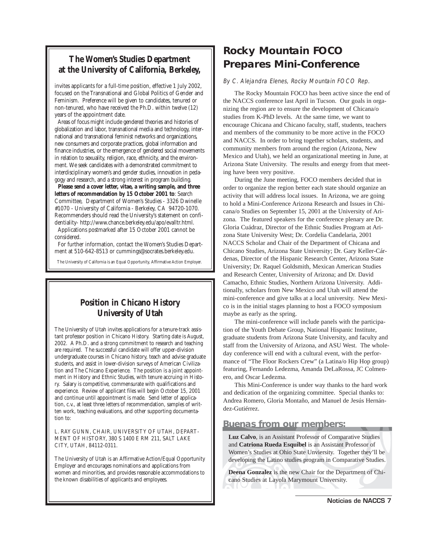### **The Women's Studies Department at the University of California, Berkeley,**

invites applicants for a full-time position, effective 1 July 2002, focused on the Transnational and Global Politics of Gender and Feminism. Preference will be given to candidates, tenured or non-tenured, who have received the Ph.D. within twelve (12) years of the appointment date.

Areas of focus might include gendered theories and histories of globalization and labor, transnational media and technology, international and transnational feminist networks and organizations, new consumers and corporate practices, global information and finance industries, or the emergence of gendered social movements in relation to sexuality, religion, race, ethnicity, and the environment. We seek candidates with a demonstrated commitment to interdisciplinary women's and gender studies, innovation in pedagogy and research, and a strong interest in program building.

**Please send a cover letter, vitae, a writing sample, and three letters of recommendation by 15 October 2001 to**: Search Committee, Department of Women's Studies - 3326 Dwinelle #1070 - University of California - Berkeley, CA 94720-1070. Recommenders should read the University's statement on confidentiality- http://www.chance.berkeley.edu/apo/evalltr.html.

Applications postmarked after 15 October 2001 cannot be considered.

For further information, contact the Women's Studies Department at 510-642-8513 or cummings@socrates.berkeley.edu.

The University of California is an Equal Opportunity, Affirmative Action Employer.

### **Position in Chicano History University of Utah**

The University of Utah invites applications for a tenure-track assistant professor position in Chicano History. Starting date is August, 2002. A Ph.D. and a strong commitment to research and teaching are required. The successful candidate will offer upper-division undergraduate courses in Chicano history, teach and advise graduate students, and assist in lower-division surveys of American Civilization and The Chicano Experience. The position is a joint appointment in History and Ethnic Studies, with tenure accruing in History. Salary is competitive, commensurate with qualifications and experience. Review of applicant files will begin October 15, 2001 and continue until appointment is made. Send letter of application, c.v., at least three letters of recommendation, samples of written work, teaching evaluations, and other supporting documentation to:

L. RAY GUNN, CHAIR, UNIVERSITY OF UTAH, DEPART-MENT OF HISTORY, 380 S 1400 E RM 211, SALT LAKE CITY, UTAH, 84112-0311.

The University of Utah is an Affirmative Action/Equal Opportunity Employer and encourages nominations and applications from women and minorities, and provides reasonable accommodations to the known disabilities of applicants and employees.

# **Rocky Mountain FOCO Prepares Mini-Conference**

#### By C. Alejandra Elenes, Rocky Mountain FOCO Rep.

The Rocky Mountain FOCO has been active since the end of the NACCS conference last April in Tucson. Our goals in organizing the region are to ensure the development of Chicana/o studies from K-PhD levels. At the same time, we want to encourage Chicana and Chicano faculty, staff, students, teachers and members of the community to be more active in the FOCO and NACCS. In order to bring together scholars, students, and community members from around the region (Arizona, New Mexico and Utah), we held an organizational meeting in June, at Arizona State University. The results and energy from that meeting have been very positive.

During the June meeting, FOCO members decided that in order to organize the region better each state should organize an activity that will address local issues. In Arizona, we are going to hold a Mini-Conference Arizona Research and Issues in Chicana/o Studies on September 15, 2001 at the University of Arizona. The featured speakers for the conference plenary are Dr. Gloria Cuádraz, Director of the Ethnic Studies Program at Arizona State University West; Dr. Cordelia Candelaria, 2001 NACCS Scholar and Chair of the Department of Chicana and Chicano Studies, Arizona State University; Dr. Gary Keller-Cárdenas, Director of the Hispanic Research Center, Arizona State University; Dr. Raquel Goldsmith, Mexican American Studies and Research Center, University of Arizona; and Dr. David Camacho, Ethnic Studies, Northern Arizona University. Additionally, scholars from New Mexico and Utah will attend the mini-conference and give talks at a local university. New Mexico is in the initial stages planning to host a FOCO symposium maybe as early as the spring.

The mini-conference will include panels with the participation of the Youth Debate Group, National Hispanic Institute, graduate students from Arizona State University, and faculty and staff from the University of Arizona, and ASU West. The wholeday conference will end with a cultural event, with the performance of "The Floor Rockers Crew" (a Latina/o Hip Hop group) featuring, Fernando Ledezma, Amanda DeLaRossa, JC Colmenero, and Oscar Ledezma.

This Mini-Conference is under way thanks to the hard work and dedication of the organizing committee. Special thanks to: Andrea Romero, Gloria Montaño, and Manuel de Jesús Hernández-Gutiérrez.

#### **Buenas from our members:**

**Luz Calvo**, is an Assistant Professor of Comparative Studies and **Catriona Rueda Esquibel** is an Assistant Professor of Women's Studies at Ohio State Unviersity. Together they'll be developing the Latino studies program in Comparative Studies.

**Deena Gonzalez** is the new Chair for the Department of Chicano Studies at Layola Marymount University.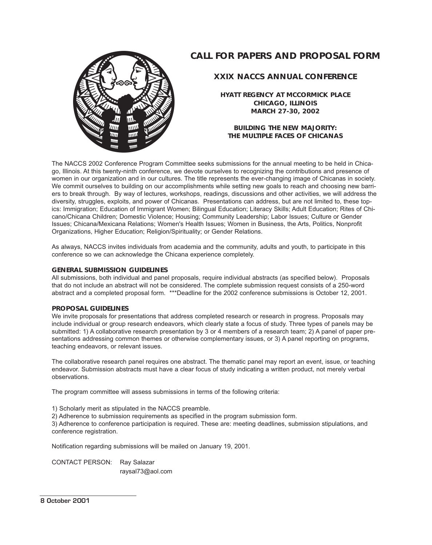### **CALL FOR PAPERS AND PROPOSAL FORM**



#### **XXIX NACCS ANNUAL CONFERENCE**

**HYATT REGENCY AT MCCORMICK PLACE CHICAGO, ILLINOIS MARCH 27-30, 2002**

**BUILDING THE NEW MAJORITY: THE MULTIPLE FACES OF CHICANAS**

The NACCS 2002 Conference Program Committee seeks submissions for the annual meeting to be held in Chicago, Illinois. At this twenty-ninth conference, we devote ourselves to recognizing the contributions and presence of women in our organization and in our cultures. The title represents the ever-changing image of Chicanas in society. We commit ourselves to building on our accomplishments while setting new goals to reach and choosing new barriers to break through. By way of lectures, workshops, readings, discussions and other activities, we will address the diversity, struggles, exploits, and power of Chicanas. Presentations can address, but are not limited to, these topics: Immigration; Education of Immigrant Women; Bilingual Education; Literacy Skills; Adult Education; Rites of Chicano/Chicana Children; Domestic Violence; Housing; Community Leadership; Labor Issues; Culture or Gender Issues; Chicana/Mexicana Relations; Women's Health Issues; Women in Business, the Arts, Politics, Nonprofit Organizations, Higher Education; Religion/Spirituality; or Gender Relations.

As always, NACCS invites individuals from academia and the community, adults and youth, to participate in this conference so we can acknowledge the Chicana experience completely.

#### **GENERAL SUBMISSION GUIDELINES**

All submissions, both individual and panel proposals, require individual abstracts (as specified below). Proposals that do not include an abstract will not be considered. The complete submission request consists of a 250-word abstract and a completed proposal form. \*\*\*Deadline for the 2002 conference submissions is October 12, 2001.

#### **PROPOSAL GUIDELINES**

We invite proposals for presentations that address completed research or research in progress. Proposals may include individual or group research endeavors, which clearly state a focus of study. Three types of panels may be submitted: 1) A collaborative research presentation by 3 or 4 members of a research team; 2) A panel of paper presentations addressing common themes or otherwise complementary issues, or 3) A panel reporting on programs, teaching endeavors, or relevant issues.

The collaborative research panel requires one abstract. The thematic panel may report an event, issue, or teaching endeavor. Submission abstracts must have a clear focus of study indicating a written product, not merely verbal observations.

The program committee will assess submissions in terms of the following criteria:

1) Scholarly merit as stipulated in the NACCS preamble.

2) Adherence to submission requirements as specified in the program submission form.

3) Adherence to conference participation is required. These are: meeting deadlines, submission stipulations, and conference registration.

Notification regarding submissions will be mailed on January 19, 2001.

CONTACT PERSON: Ray Salazar raysal73@aol.com

#### 8 October 2001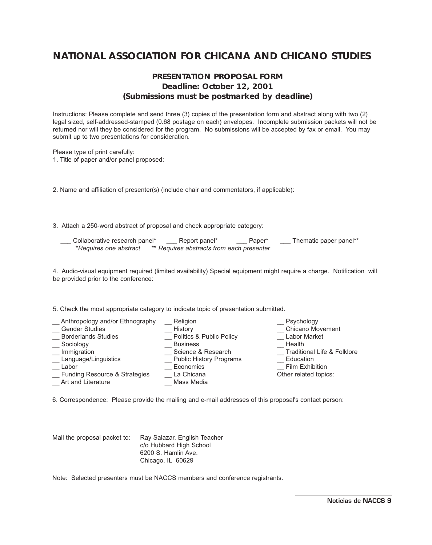### **NATIONAL ASSOCIATION FOR CHICANA AND CHICANO STUDIES**

### **PRESENTATION PROPOSAL FORM Deadline: October 12, 2001 (Submissions must be postmarked by deadline)**

Instructions: Please complete and send three (3) copies of the presentation form and abstract along with two (2) legal sized, self-addressed-stamped (0.68 postage on each) envelopes. Incomplete submission packets will not be returned nor will they be considered for the program. No submissions will be accepted by fax or email. You may submit up to two presentations for consideration.

Please type of print carefully: 1. Title of paper and/or panel proposed:

2. Name and affiliation of presenter(s) (include chair and commentators, if applicable):

3. Attach a 250-word abstract of proposal and check appropriate category:

Collaborative research panel\* \_\_\_\_ Report panel\* \_\_\_\_\_ Paper\* \_\_\_\_ Thematic paper panel\*\* *\*Requires one abstract \*\* Requires abstracts from each presenter*

4. Audio-visual equipment required (limited availability) Special equipment might require a charge. Notification will be provided prior to the conference:

5. Check the most appropriate category to indicate topic of presentation submitted.

| Anthropology and/or Ethnography          | Religion                       | Psychology                             |
|------------------------------------------|--------------------------------|----------------------------------------|
| <b>Gender Studies</b>                    | History                        | <b>Chicano Movement</b>                |
| <b>Borderlands Studies</b>               | Politics & Public Policy       | <b>Labor Market</b>                    |
| Sociology                                | <b>Business</b>                | Health                                 |
| Immigration                              | Science & Research             | <b>Traditional Life &amp; Folklore</b> |
| Language/Linguistics                     | <b>Public History Programs</b> | Education                              |
| Labor                                    | Economics                      | <b>Film Exhibition</b>                 |
| <b>Eunding Resource &amp; Strategies</b> | La Chicana                     | Other related topics:                  |
| Art and Literature                       | Mass Media                     |                                        |

6. Correspondence: Please provide the mailing and e-mail addresses of this proposal's contact person:

Mail the proposal packet to: Ray Salazar, English Teacher c/o Hubbard High School 6200 S. Hamlin Ave. Chicago, IL 60629

Note: Selected presenters must be NACCS members and conference registrants.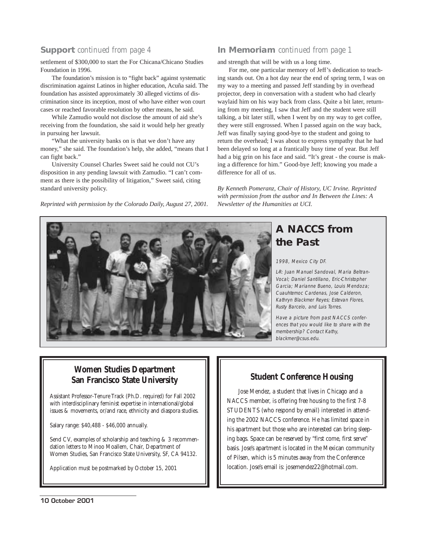settlement of \$300,000 to start the For Chicana/Chicano Studies Foundation in 1996.

The foundation's mission is to "fight back" against systematic discrimination against Latinos in higher education, Acuña said. The foundation has assisted approximately 30 alleged victims of discrimination since its inception, most of who have either won court cases or reached favorable resolution by other means, he said.

While Zamudio would not disclose the amount of aid she's receiving from the foundation, she said it would help her greatly in pursuing her lawsuit.

"What the university banks on is that we don't have any money," she said. The foundation's help, she added, "means that I can fight back."

University Counsel Charles Sweet said he could not CU's disposition in any pending lawsuit with Zamudio. "I can't comment as there is the possibility of litigation," Sweet said, citing standard university policy.

*Reprinted with permission by the Colorado Daily, August 27, 2001.*

#### **Support** *continued from page 4* **In Memoriam** *continued from page 1*

and strength that will be with us a long time.

For me, one particular memory of Jeff's dedication to teaching stands out. On a hot day near the end of spring term, I was on my way to a meeting and passed Jeff standing by in overhead projector, deep in conversation with a student who had clearly waylaid him on his way back from class. Quite a bit later, returning from my meeting, I saw that Jeff and the student were still talking, a bit later still, when I went by on my way to get coffee, they were still engrossed. When I passed again on the way back, Jeff was finally saying good-bye to the student and going to return the overhead; I was about to express sympathy that he had been delayed so long at a frantically busy time of year. But Jeff had a big grin on his face and said. "It's great - the course is making a difference for him." Good-bye Jeff; knowing you made a difference for all of us.

*By Kenneth Pomeranz, Chair of History, UC Irvine. Reprinted with permission from the author and In Between the Lines: A Newsletter of the Humanities at UCI.*

# **A NACCS from the Past**

#### 1998, Mexico City DF.

L-R: Juan Manuel Sandoval, Maria Beltran-Vocal; Daniel Santillano, Eric-Christopher Garcia; Marianne Bueno, Louis Mendoza; Cuauhtemoc Cardenas, Jose Calderon, Kathryn Blackmer Reyes; Estevan Flores, Rusty Barcelo, and Luis Torres.

Have a picture from past NACCS conferences that you would like to share with the membership? Contact Kathy, blackmer@csus.edu.

### **Women Studies Department San Francisco State University**

Assistant Professor-Tenure Track (Ph.D. required) for Fall 2002 with interdisciplinary feminist expertise in international/global issues & movements, or/and race, ethnicity and diaspora studies.

Salary range: \$40,488 - \$46,000 annually.

Send CV, examples of scholarship and teaching & 3 recommendation letters to Minoo Moallem, Chair, Department of Women Studies, San Francisco State University, SF, CA 94132.

Application must be postmarked by October 15, 2001

### **Student Conference Housing**

Jose Mendez, a student that lives in Chicago and a NACCS member, is offering free housing to the first 7-8 STUDENTS (who respond by email) interested in attending the 2002 NACCS conference. He has limited space in his apartment but those who are interested can bring sleeping bags. Space can be reserved by "first come, first serve" basis. Jose's apartment is located in the Mexican community of Pilsen, which is 5 minutes away from the Conference location. Jose's email is: josemendez22@hotmail.com.

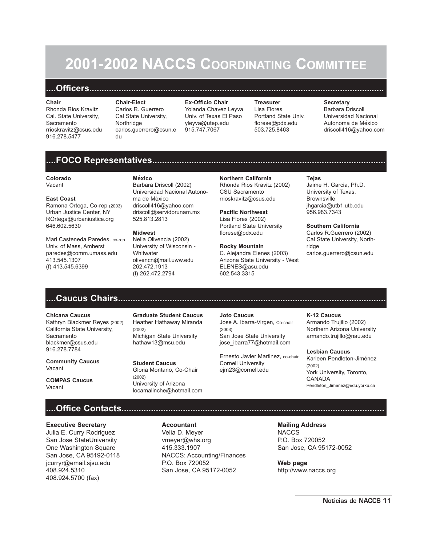# **2001-2002 NACCS COORDINATING COMMITTEE**

## **....Officers........................................................................................................................**

#### **Chair**

Rhonda Rios Kravitz Cal. State University, Sacramento rrioskravitz@csus.edu 916.278.5477

**Chair-Elect** Carlos R. Guerrero Cal State University, Northridge carlos.guerrero@csun.e du

**Ex-Officio Chair** Yolanda Chavez Leyva Univ. of Texas El Paso yleyva@utep.edu 915.747.7067

**Treasurer** Lisa Flores Portland State Univ. florese@pdx.edu 503.725.8463

#### **Secretary**

Barbara Driscoll Universidad Nacional Autonoma de México driscoll416@yahoo.com

#### **....FOCO Representatives...............................................................................................**

#### **Colorado**

Vacant

#### **East Coast**

Ramona Ortega, Co-rep (2003) Urban Justice Center, NY ROrtega@urbaniustice.org 646.602.5630

Mari Casteneda Paredes, co-rep Univ. of Mass, Amherst paredes@comm.umass.edu 413.545.1307 (f) 413.545.6399

**México** Barbara Driscoll (2002) Universidad Nacional Autonoma de México driscoll416@yahoo.com driscoll@servidorunam.mx 525.813.2813

#### **Midwest**

Nelia Olivencia (2002) University of Wisconsin - **Whitwater** olivencn@mail.uww.edu 262.472.1913 (f) 262.472.2794

**Northern California** Rhonda Rios Kravitz (2002) CSU Sacramento rrioskravitz@csus.edu

**Pacific Northwest** Lisa Flores (2002) Portland State University florese@pdx.edu

#### **Rocky Mountain**

C. Alejandra Elenes (2003) Arizona State University - West ELENES@asu.edu 602.543.3315

#### T**ejas**

Jaime H. Garcia, Ph.D. University of Texas, **Brownsville** jhgarcia@utb1.utb.edu 956.983.7343

#### **Southern California**

Carlos R.Guerrero (2002) Cal State University, Northridge carlos.guerrero@csun.edu

# **....Caucus Chairs.............................................................................................................**

#### **Chicana Caucus**

Kathryn Blackmer Reyes (2002) California State University, **Sacramento** blackmer@csus.edu 916.278.7784

**Community Caucus** Vacant

**COMPAS Caucus** Vacant

**Graduate Student Caucus** Heather Hathaway Miranda (2002) Michigan State University hathaw13@msu.edu

**Student Caucus** Gloria Montano, Co-Chair (2002) University of Arizona locamalinche@hotmail.com

**Joto Caucus** Jose A. lbarra-Virgen, Co-chair (2003) San Jose State University jose\_ibarra77@hotmail.com

Ernesto Javier Martinez, co-chair Cornell University ejm23@cornell.edu

#### **K-12 Caucus** Armando Trujillo (2002) Northern Arizona University armando.trujillo@nau.edu

**Lesbian Caucus** Karleen Pendleton-Jiménez (2002) York University, Toronto, CANADA Pendleton\_Jimenez@edu.yorku.ca

### **....Office Contacts...........................................................................................................**

#### **Executive Secretary**

Julia E. Curry Rodriguez San Jose StateUniversity One Washington Square San Jose, CA 95192-0118 jcurryr@email.sjsu.edu 408.924.5310 408.924.5700 (fax)

**Accountant** Velia D. Meyer vmeyer@whs.org 415.333.1907 NACCS: Accounting/Finances P.O. Box 720052 San Jose, CA 95172-0052

**Mailing Address NACCS** P.O. Box 720052

San Jose, CA 95172-0052

**Web page** http://www.naccs.org